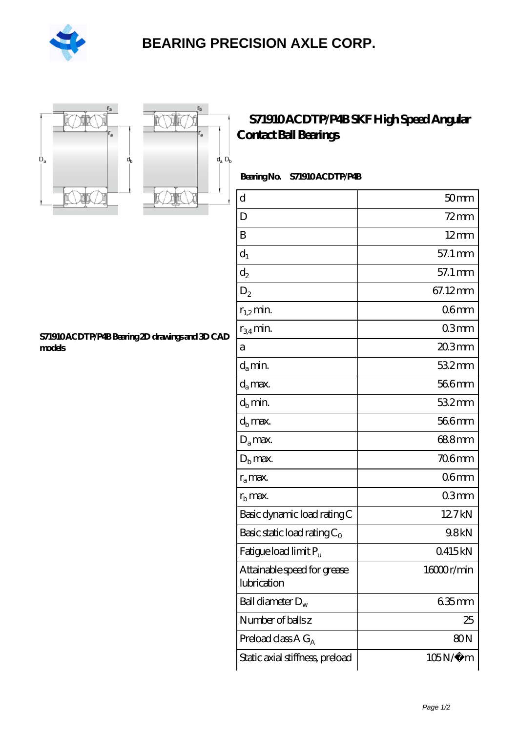

## **[BEARING PRECISION AXLE CORP.](https://m.hilalanaokulu.com)**





## **[S71910 ACDTP/P4B SKF High Speed Angular](https://m.hilalanaokulu.com/skf-bearings/s71910-acdtp-p4b.html) [Contact Ball Bearings](https://m.hilalanaokulu.com/skf-bearings/s71910-acdtp-p4b.html)**

Bearing No. S71910 ACDTP/P4B

| $\rm d$                                    | 50 <sub>mm</sub> |
|--------------------------------------------|------------------|
| D                                          | $72 \text{mm}$   |
| B                                          | $12 \text{mm}$   |
| $d_1$                                      | 57.1 mm          |
| $d_2$                                      | 57.1 mm          |
| $\mathrm{D}_2$                             | 67.12mm          |
| $r_{1,2}$ min.                             | 06 <sub>mm</sub> |
| $r_{34}$ min.                              | 03mm             |
| а                                          | $203$ mm         |
| $d_a$ min.                                 | 532mm            |
| $d_a$ max.                                 | 566mm            |
| $d_b$ min.                                 | $532$ mm         |
| $d_h$ max.                                 | 566mm            |
| $D_a$ max.                                 | 688mm            |
| $Db$ max.                                  | 706mm            |
| $r_a$ max.                                 | 06mm             |
| $rb$ max.                                  | 03mm             |
| Basic dynamic load rating C                | 127kN            |
| Basic static load rating $C_0$             | 9.8kN            |
| Fatigue load limit Pu                      | 0415kN           |
| Attainable speed for grease<br>lubrication | 16000r/min       |
| Ball diameter $D_w$                        | 635mm            |
| Number of ballsz                           | 25               |
| Preload class $AG_A$                       | 80 <sub>N</sub>  |
| Static axial stiffness, preload            | $105N/\mu$ m     |

**[S71910 ACDTP/P4B Bearing 2D drawings and 3D CAD](https://m.hilalanaokulu.com/pic-660646.html) [models](https://m.hilalanaokulu.com/pic-660646.html)**